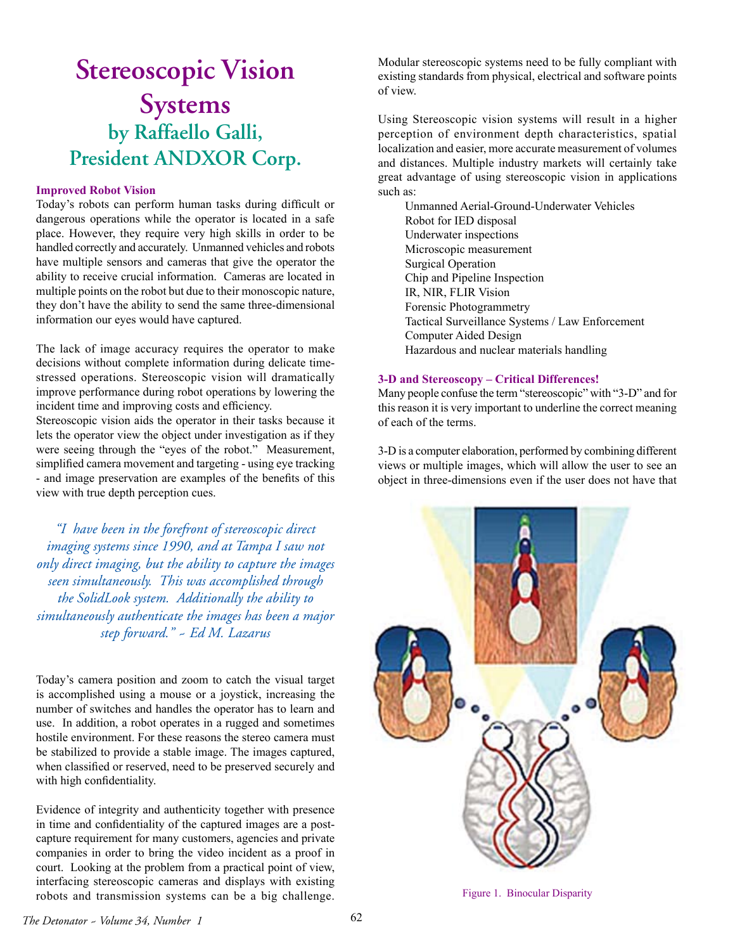## **Stereoscopic Vision Systems by Raffaello Galli, President ANDXOR Corp.**

## **Improved Robot Vision**

Today's robots can perform human tasks during difficult or dangerous operations while the operator is located in a safe place. However, they require very high skills in order to be handled correctly and accurately. Unmanned vehicles and robots have multiple sensors and cameras that give the operator the ability to receive crucial information. Cameras are located in multiple points on the robot but due to their monoscopic nature, they don't have the ability to send the same three-dimensional information our eyes would have captured.

The lack of image accuracy requires the operator to make decisions without complete information during delicate timestressed operations. Stereoscopic vision will dramatically improve performance during robot operations by lowering the incident time and improving costs and efficiency.

Stereoscopic vision aids the operator in their tasks because it lets the operator view the object under investigation as if they were seeing through the "eyes of the robot." Measurement, simplified camera movement and targeting - using eye tracking - and image preservation are examples of the benefits of this view with true depth perception cues.

*"I have been in the forefront of stereoscopic direct imaging systems since 1990, and at Tampa I saw not only direct imaging, but the ability to capture the images seen simultaneously. This was accomplished through the SolidLook system. Additionally the ability to simultaneously authenticate the images has been a major step forward." ~ Ed M. Lazarus*

Today's camera position and zoom to catch the visual target is accomplished using a mouse or a joystick, increasing the number of switches and handles the operator has to learn and use. In addition, a robot operates in a rugged and sometimes hostile environment. For these reasons the stereo camera must be stabilized to provide a stable image. The images captured, when classified or reserved, need to be preserved securely and with high confidentiality.

Evidence of integrity and authenticity together with presence in time and confidentiality of the captured images are a postcapture requirement for many customers, agencies and private companies in order to bring the video incident as a proof in court. Looking at the problem from a practical point of view, interfacing stereoscopic cameras and displays with existing robots and transmission systems can be a big challenge.

Modular stereoscopic systems need to be fully compliant with existing standards from physical, electrical and software points of view.

Using Stereoscopic vision systems will result in a higher perception of environment depth characteristics, spatial localization and easier, more accurate measurement of volumes and distances. Multiple industry markets will certainly take great advantage of using stereoscopic vision in applications such as:

Unmanned Aerial-Ground-Underwater Vehicles Robot for IED disposal Underwater inspections Microscopic measurement Surgical Operation Chip and Pipeline Inspection IR, NIR, FLIR Vision Forensic Photogrammetry Tactical Surveillance Systems / Law Enforcement Computer Aided Design Hazardous and nuclear materials handling

## **3-D and Stereoscopy – Critical Differences!**

Many people confuse the term "stereoscopic" with "3-D" and for this reason it is very important to underline the correct meaning of each of the terms.

3-D is a computer elaboration, performed by combining different views or multiple images, which will allow the user to see an object in three-dimensions even if the user does not have that



Figure 1. Binocular Disparity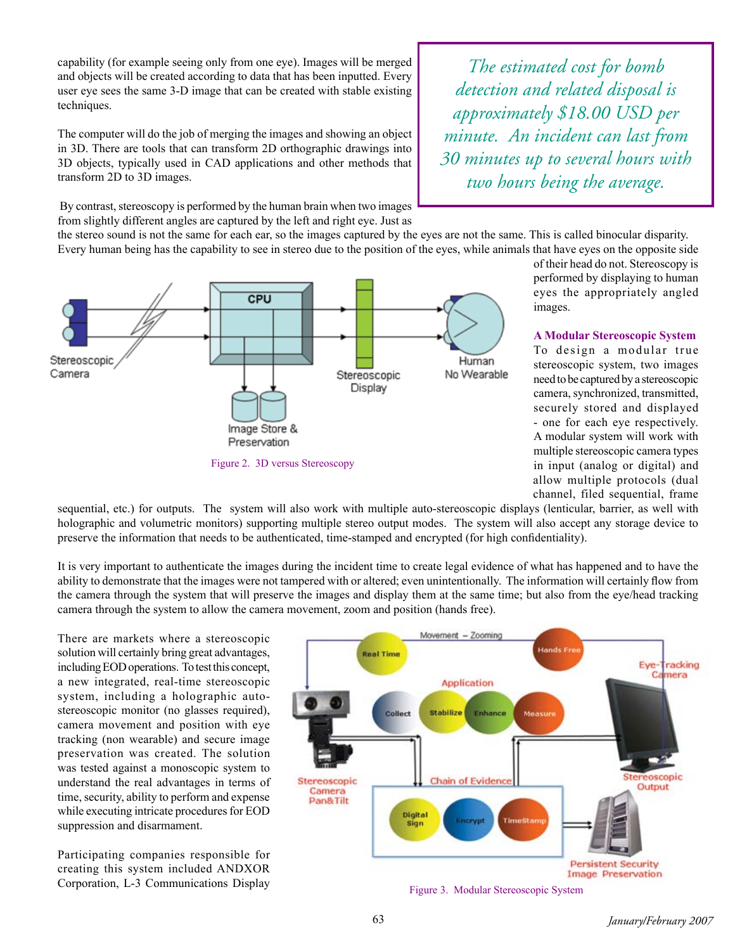capability (for example seeing only from one eye). Images will be merged and objects will be created according to data that has been inputted. Every user eye sees the same 3-D image that can be created with stable existing techniques.

The computer will do the job of merging the images and showing an object in 3D. There are tools that can transform 2D orthographic drawings into 3D objects, typically used in CAD applications and other methods that transform 2D to 3D images.

 By contrast, stereoscopy is performed by the human brain when two images from slightly different angles are captured by the left and right eye. Just as

*The estimated cost for bomb detection and related disposal is approximately \$18.00 USD per minute. An incident can last from 30 minutes up to several hours with two hours being the average.*

the stereo sound is not the same for each ear, so the images captured by the eyes are not the same. This is called binocular disparity. Every human being has the capability to see in stereo due to the position of the eyes, while animals that have eyes on the opposite side



of their head do not. Stereoscopy is performed by displaying to human eyes the appropriately angled images.

**A Modular Stereoscopic System** To design a modular true stereoscopic system, two images need to be captured by a stereoscopic camera, synchronized, transmitted, securely stored and displayed - one for each eye respectively. A modular system will work with multiple stereoscopic camera types in input (analog or digital) and allow multiple protocols (dual channel, filed sequential, frame

sequential, etc.) for outputs. The system will also work with multiple auto-stereoscopic displays (lenticular, barrier, as well with holographic and volumetric monitors) supporting multiple stereo output modes. The system will also accept any storage device to preserve the information that needs to be authenticated, time-stamped and encrypted (for high confidentiality).

It is very important to authenticate the images during the incident time to create legal evidence of what has happened and to have the ability to demonstrate that the images were not tampered with or altered; even unintentionally. The information will certainly flow from the camera through the system that will preserve the images and display them at the same time; but also from the eye/head tracking camera through the system to allow the camera movement, zoom and position (hands free).

There are markets where a stereoscopic solution will certainly bring great advantages, including EOD operations. To test this concept, a new integrated, real-time stereoscopic system, including a holographic autostereoscopic monitor (no glasses required), camera movement and position with eye tracking (non wearable) and secure image preservation was created. The solution was tested against a monoscopic system to understand the real advantages in terms of time, security, ability to perform and expense while executing intricate procedures for EOD suppression and disarmament.

Participating companies responsible for creating this system included ANDXOR Corporation, L-3 Communications Display



Figure 3. Modular Stereoscopic System